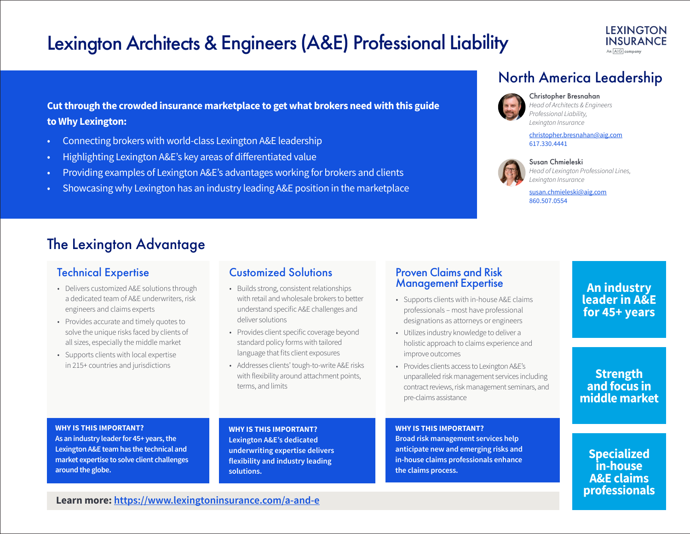# Lexington Architects & Engineers (A&E) Professional Liability

**Cut through the crowded insurance marketplace to get what brokers need with this guide to Why Lexington:** 

- Connecting brokers with world-class Lexington A&E leadership
- Highlighting Lexington A&E's key areas of differentiated value
- Providing examples of Lexington A&E's advantages working for brokers and clients
- Showcasing why Lexington has an industry leading A&E position in the marketplace

# North America Leadership



Christopher Bresnahan *Head of Architects & Engineers Professional Liability, Lexington Insurance*

christopher.bresnahan@aig.com 617.330.4441



Susan Chmieleski *Head of Lexington Professional Lines,* 

susan.chmieleski@aig.com 860.507.0554

*Lexington Insurance*

## The Lexington Advantage

- Delivers customized A&E solutions through a dedicated team of A&E underwriters, risk engineers and claims experts
- Provides accurate and timely quotes to solve the unique risks faced by clients of all sizes, especially the middle market
- Supports clients with local expertise in 215+ countries and jurisdictions

### Technical Expertise Customized Solutions Proven Claims and Risk

- Builds strong, consistent relationships with retail and wholesale brokers to better understand specific A&E challenges and deliver solutions
- Provides client specific coverage beyond standard policy forms with tailored language that fits client exposures
- Addresses clients' tough-to-write A&E risks with flexibility around attachment points, terms, and limits

# Management Expertise

- Supports clients with in-house A&E claims professionals – most have professional designations as attorneys or engineers
- Utilizes industry knowledge to deliver a holistic approach to claims experience and improve outcomes
- Provides clients access to Lexington A&E's unparalleled risk management services including contract reviews, risk management seminars, and pre-claims assistance

**An industry leader in A&E for 45+ years**

### **Strength and focus in middle market**

#### **WHY IS THIS IMPORTANT?**

**As an industry leader for 45+ years, the Lexington A&E team has the technical and market expertise to solve client challenges around the globe.**

**WHY IS THIS IMPORTANT? Lexington A&E's dedicated underwriting expertise delivers flexibility and industry leading solutions.** 

### **WHY IS THIS IMPORTANT?**

**Broad risk management services help anticipate new and emerging risks and in-house claims professionals enhance the claims process.**

**Learn more: https://www.lexingtoninsurance.com/a-and-e**

**Specialized in-house A&E claims professionals**